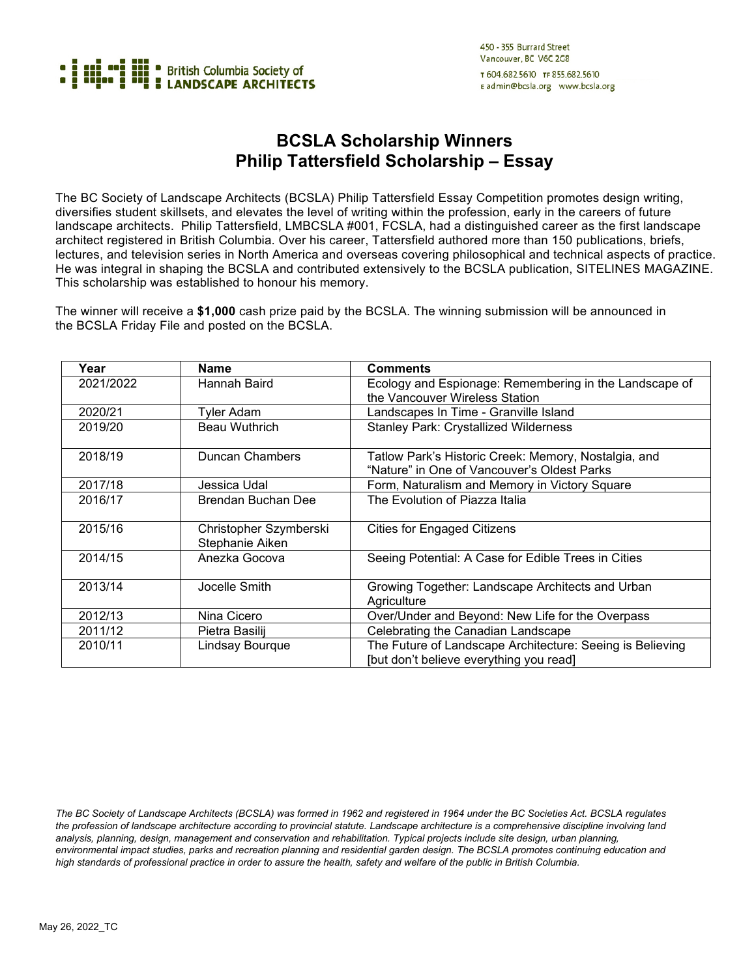

## **BCSLA Scholarship Winners Philip Tattersfield Scholarship – Essay**

The BC Society of Landscape Architects (BCSLA) Philip Tattersfield Essay Competition promotes design writing, diversifies student skillsets, and elevates the level of writing within the profession, early in the careers of future landscape architects. Philip Tattersfield, LMBCSLA #001, FCSLA, had a distinguished career as the first landscape architect registered in British Columbia. Over his career, Tattersfield authored more than 150 publications, briefs, lectures, and television series in North America and overseas covering philosophical and technical aspects of practice. He was integral in shaping the BCSLA and contributed extensively to the BCSLA publication, SITELINES MAGAZINE. This scholarship was established to honour his memory.

The winner will receive a **\$1,000** cash prize paid by the BCSLA. The winning submission will be announced in the BCSLA Friday File and posted on the BCSLA.

| Year      | <b>Name</b>                               | <b>Comments</b>                                                                                      |
|-----------|-------------------------------------------|------------------------------------------------------------------------------------------------------|
| 2021/2022 | Hannah Baird                              | Ecology and Espionage: Remembering in the Landscape of<br>the Vancouver Wireless Station             |
| 2020/21   | Tyler Adam                                | Landscapes In Time - Granville Island                                                                |
| 2019/20   | Beau Wuthrich                             | <b>Stanley Park: Crystallized Wilderness</b>                                                         |
| 2018/19   | Duncan Chambers                           | Tatlow Park's Historic Creek: Memory, Nostalgia, and<br>"Nature" in One of Vancouver's Oldest Parks  |
| 2017/18   | Jessica Udal                              | Form, Naturalism and Memory in Victory Square                                                        |
| 2016/17   | Brendan Buchan Dee                        | The Evolution of Piazza Italia                                                                       |
| 2015/16   | Christopher Szymberski<br>Stephanie Aiken | <b>Cities for Engaged Citizens</b>                                                                   |
| 2014/15   | Anezka Gocova                             | Seeing Potential: A Case for Edible Trees in Cities                                                  |
| 2013/14   | Jocelle Smith                             | Growing Together: Landscape Architects and Urban<br>Agriculture                                      |
| 2012/13   | Nina Cicero                               | Over/Under and Beyond: New Life for the Overpass                                                     |
| 2011/12   | Pietra Basilij                            | Celebrating the Canadian Landscape                                                                   |
| 2010/11   | Lindsay Bourque                           | The Future of Landscape Architecture: Seeing is Believing<br>[but don't believe everything you read] |

*The BC Society of Landscape Architects (BCSLA) was formed in 1962 and registered in 1964 under the BC Societies Act. BCSLA regulates the profession of landscape architecture according to provincial statute. Landscape architecture is a comprehensive discipline involving land analysis, planning, design, management and conservation and rehabilitation. Typical projects include site design, urban planning,*  environmental impact studies, parks and recreation planning and residential garden design. The BCSLA promotes continuing education and *high standards of professional practice in order to assure the health, safety and welfare of the public in British Columbia.*